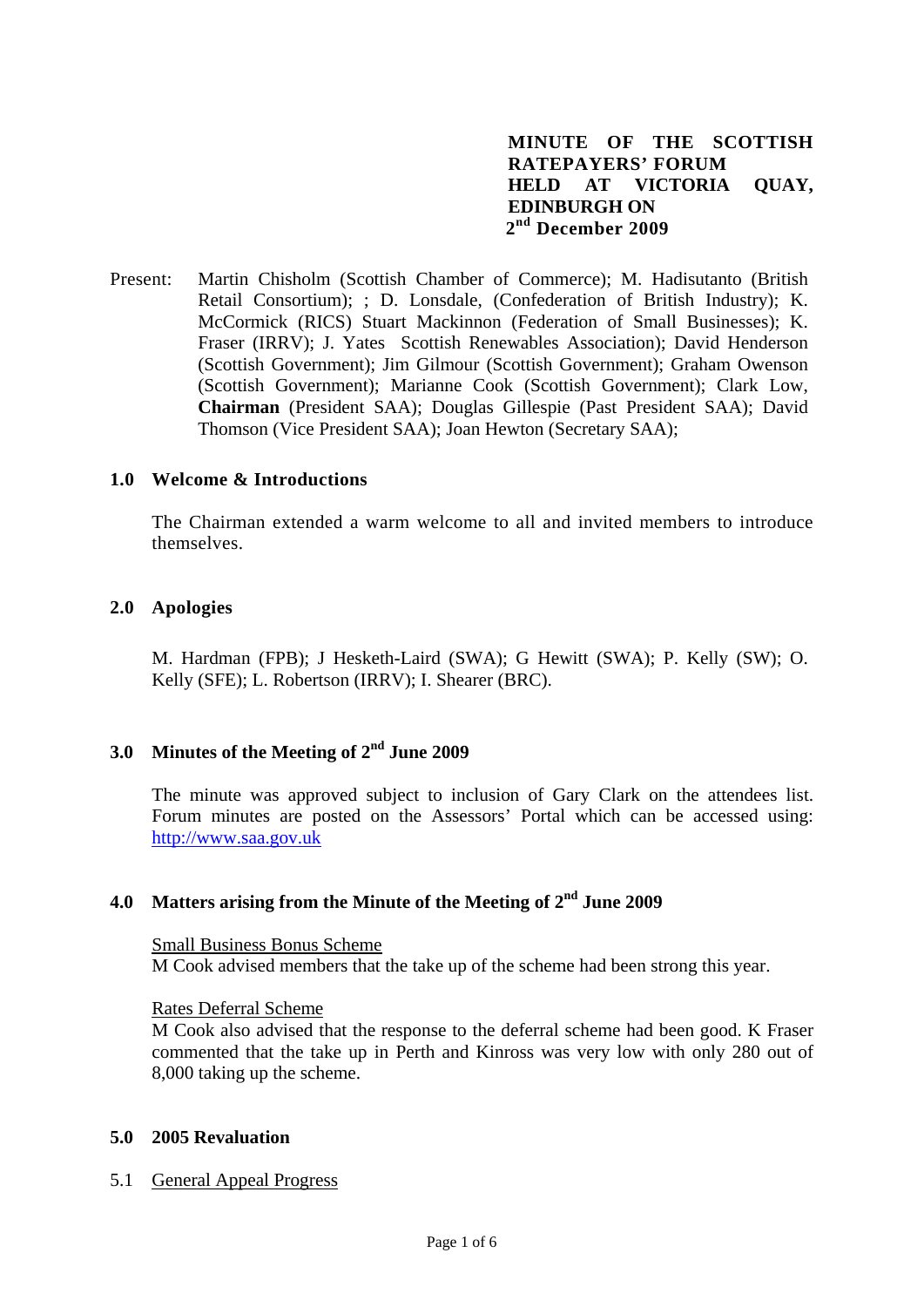# **MINUTE OF THE SCOTTISH RATEPAYERS' FORUM HELD AT VICTORIA QUAY, EDINBURGH ON 2nd December 2009**

Present: Martin Chisholm (Scottish Chamber of Commerce); M. Hadisutanto (British Retail Consortium); ; D. Lonsdale, (Confederation of British Industry); K. McCormick (RICS) Stuart Mackinnon (Federation of Small Businesses); K. Fraser (IRRV); J. Yates Scottish Renewables Association); David Henderson (Scottish Government); Jim Gilmour (Scottish Government); Graham Owenson (Scottish Government); Marianne Cook (Scottish Government); Clark Low, **Chairman** (President SAA); Douglas Gillespie (Past President SAA); David Thomson (Vice President SAA); Joan Hewton (Secretary SAA);

#### **1.0 Welcome & Introductions**

The Chairman extended a warm welcome to all and invited members to introduce themselves.

#### **2.0 Apologies**

 M. Hardman (FPB); J Hesketh-Laird (SWA); G Hewitt (SWA); P. Kelly (SW); O. Kelly (SFE); L. Robertson (IRRV); I. Shearer (BRC).

# **3.0 Minutes of the Meeting of 2nd June 2009**

The minute was approved subject to inclusion of Gary Clark on the attendees list. Forum minutes are posted on the Assessors' Portal which can be accessed using: [http://www.saa.gov.uk](http://www.saa.gov.uk/)

# **4.0 Matters arising from the Minute of the Meeting of 2nd June 2009**

Small Business Bonus Scheme M Cook advised members that the take up of the scheme had been strong this year.

#### Rates Deferral Scheme

M Cook also advised that the response to the deferral scheme had been good. K Fraser commented that the take up in Perth and Kinross was very low with only 280 out of 8,000 taking up the scheme.

#### **5.0 2005 Revaluation**

5.1 General Appeal Progress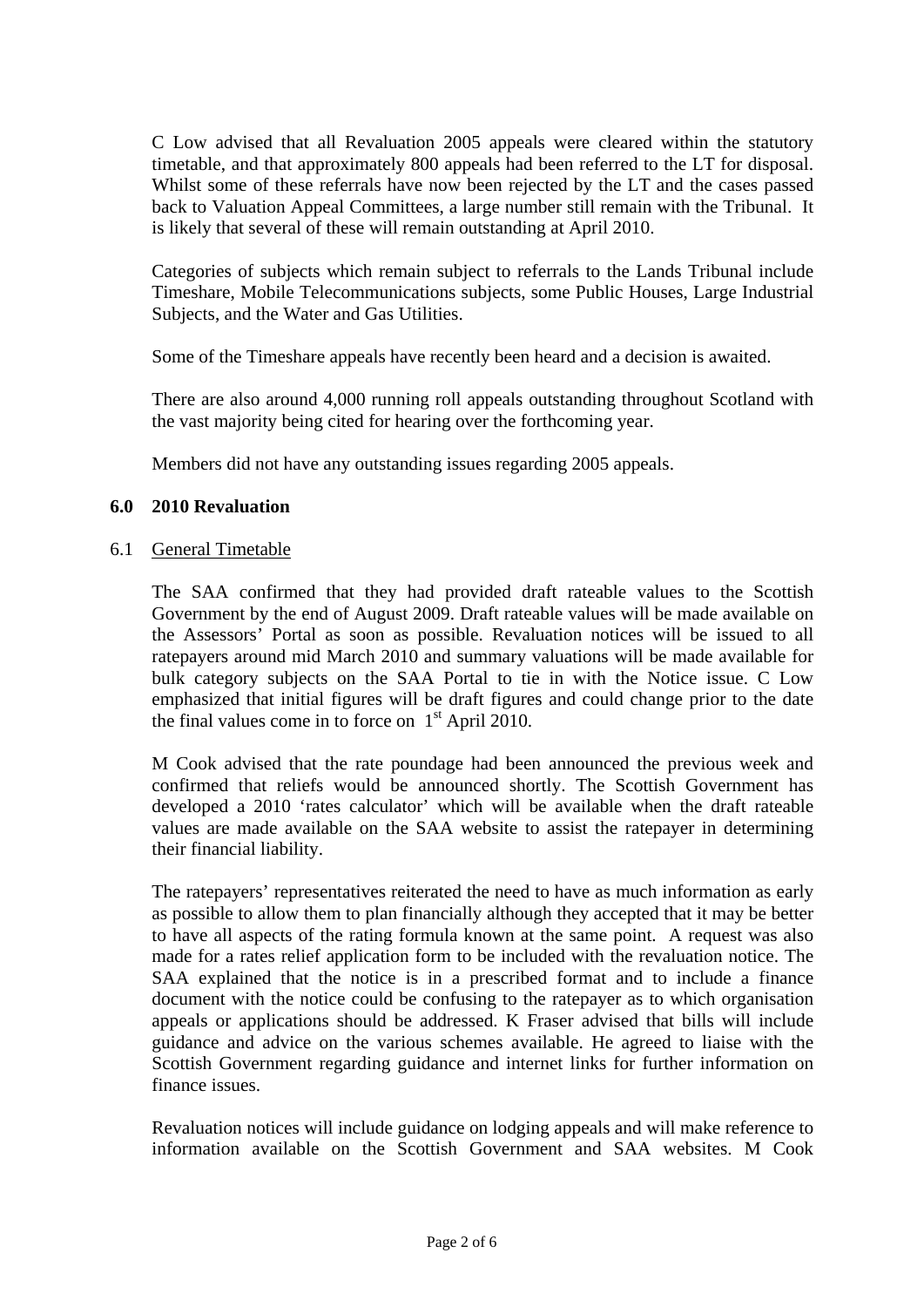C Low advised that all Revaluation 2005 appeals were cleared within the statutory timetable, and that approximately 800 appeals had been referred to the LT for disposal. Whilst some of these referrals have now been rejected by the LT and the cases passed back to Valuation Appeal Committees, a large number still remain with the Tribunal. It is likely that several of these will remain outstanding at April 2010.

Categories of subjects which remain subject to referrals to the Lands Tribunal include Timeshare, Mobile Telecommunications subjects, some Public Houses, Large Industrial Subjects, and the Water and Gas Utilities.

Some of the Timeshare appeals have recently been heard and a decision is awaited.

There are also around 4,000 running roll appeals outstanding throughout Scotland with the vast majority being cited for hearing over the forthcoming year.

Members did not have any outstanding issues regarding 2005 appeals.

# **6.0 2010 Revaluation**

### 6.1 General Timetable

The SAA confirmed that they had provided draft rateable values to the Scottish Government by the end of August 2009. Draft rateable values will be made available on the Assessors' Portal as soon as possible. Revaluation notices will be issued to all ratepayers around mid March 2010 and summary valuations will be made available for bulk category subjects on the SAA Portal to tie in with the Notice issue. C Low emphasized that initial figures will be draft figures and could change prior to the date the final values come in to force on  $1<sup>st</sup>$  April 2010.

M Cook advised that the rate poundage had been announced the previous week and confirmed that reliefs would be announced shortly. The Scottish Government has developed a 2010 'rates calculator' which will be available when the draft rateable values are made available on the SAA website to assist the ratepayer in determining their financial liability.

The ratepayers' representatives reiterated the need to have as much information as early as possible to allow them to plan financially although they accepted that it may be better to have all aspects of the rating formula known at the same point. A request was also made for a rates relief application form to be included with the revaluation notice. The SAA explained that the notice is in a prescribed format and to include a finance document with the notice could be confusing to the ratepayer as to which organisation appeals or applications should be addressed. K Fraser advised that bills will include guidance and advice on the various schemes available. He agreed to liaise with the Scottish Government regarding guidance and internet links for further information on finance issues.

Revaluation notices will include guidance on lodging appeals and will make reference to information available on the Scottish Government and SAA websites. M Cook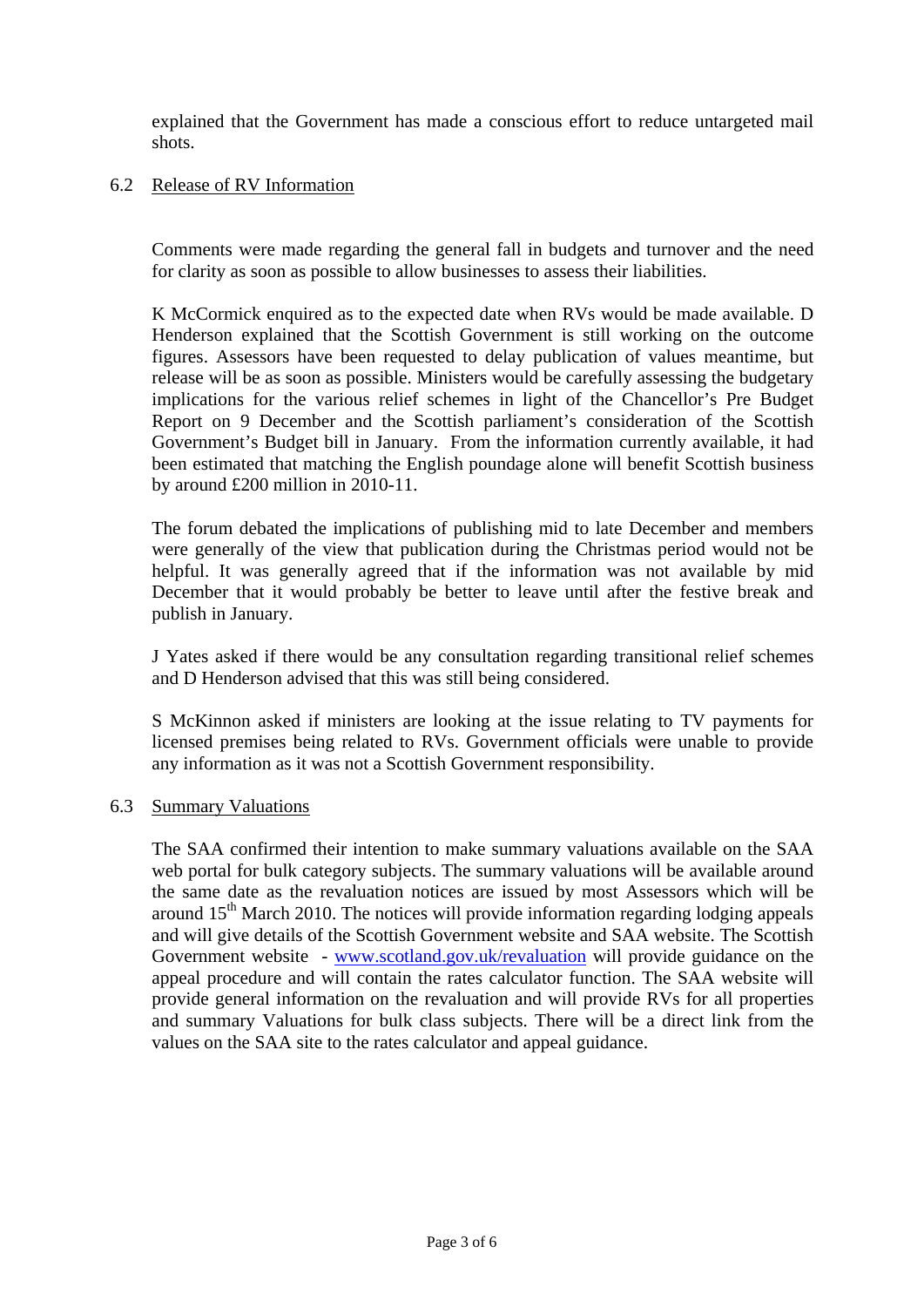explained that the Government has made a conscious effort to reduce untargeted mail shots.

# 6.2 Release of RV Information

Comments were made regarding the general fall in budgets and turnover and the need for clarity as soon as possible to allow businesses to assess their liabilities.

K McCormick enquired as to the expected date when RVs would be made available. D Henderson explained that the Scottish Government is still working on the outcome figures. Assessors have been requested to delay publication of values meantime, but release will be as soon as possible. Ministers would be carefully assessing the budgetary implications for the various relief schemes in light of the Chancellor's Pre Budget Report on 9 December and the Scottish parliament's consideration of the Scottish Government's Budget bill in January. From the information currently available, it had been estimated that matching the English poundage alone will benefit Scottish business by around £200 million in 2010-11.

The forum debated the implications of publishing mid to late December and members were generally of the view that publication during the Christmas period would not be helpful. It was generally agreed that if the information was not available by mid December that it would probably be better to leave until after the festive break and publish in January.

J Yates asked if there would be any consultation regarding transitional relief schemes and D Henderson advised that this was still being considered.

 S McKinnon asked if ministers are looking at the issue relating to TV payments for licensed premises being related to RVs. Government officials were unable to provide any information as it was not a Scottish Government responsibility.

### 6.3 Summary Valuations

 The SAA confirmed their intention to make summary valuations available on the SAA web portal for bulk category subjects. The summary valuations will be available around the same date as the revaluation notices are issued by most Assessors which will be around  $15<sup>th</sup>$  March 2010. The notices will provide information regarding lodging appeals and will give details of the Scottish Government website and SAA website. The Scottish Government website - [www.scotland.gov.uk/revaluation](http://www.scotland.gov.uk/revaluation) will provide guidance on the appeal procedure and will contain the rates calculator function. The SAA website will provide general information on the revaluation and will provide RVs for all properties and summary Valuations for bulk class subjects. There will be a direct link from the values on the SAA site to the rates calculator and appeal guidance.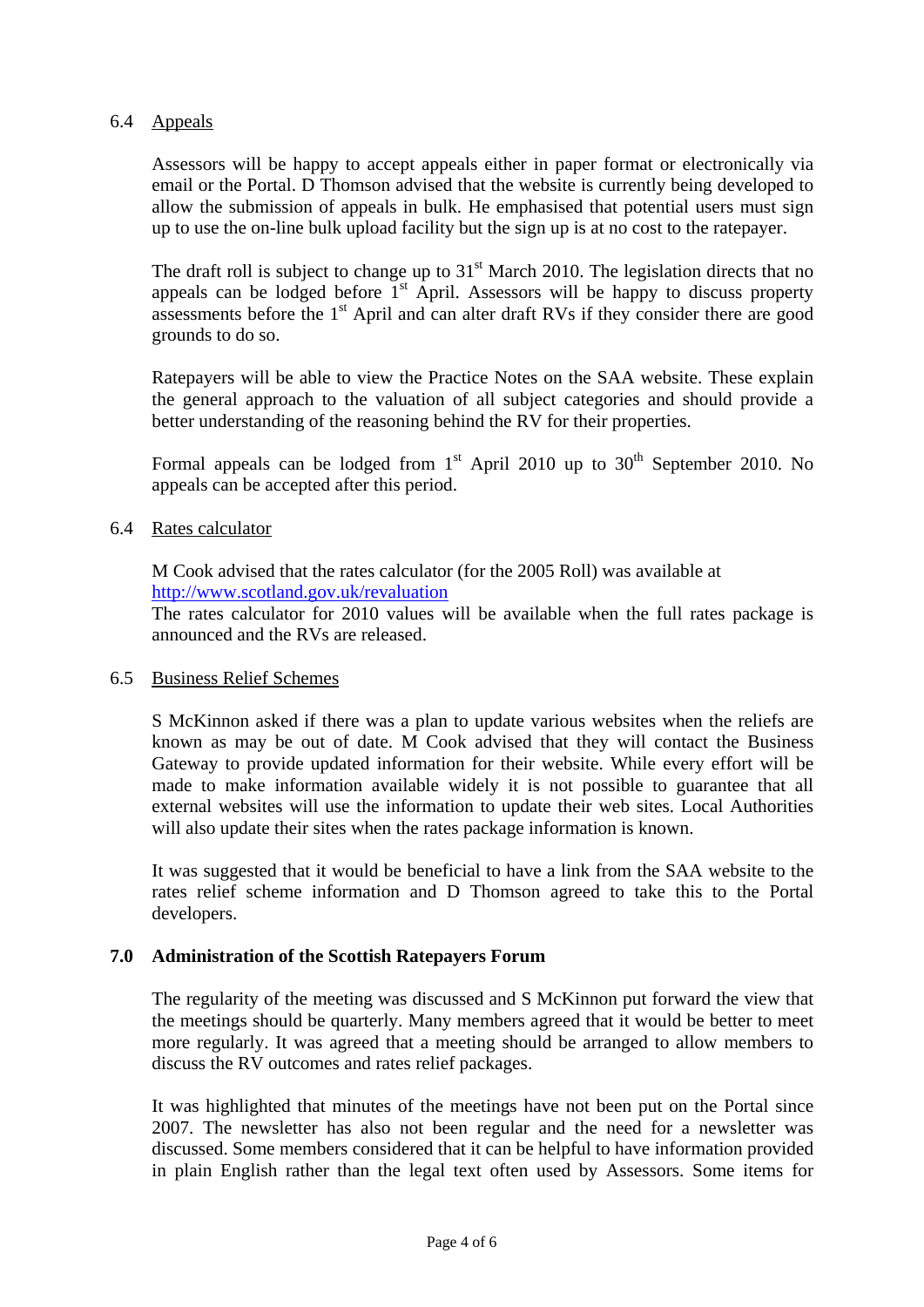# 6.4 Appeals

Assessors will be happy to accept appeals either in paper format or electronically via email or the Portal. D Thomson advised that the website is currently being developed to allow the submission of appeals in bulk. He emphasised that potential users must sign up to use the on-line bulk upload facility but the sign up is at no cost to the ratepayer.

The draft roll is subject to change up to  $31<sup>st</sup>$  March 2010. The legislation directs that no appeals can be lodged before  $1<sup>st</sup>$  April. Assessors will be happy to discuss property assessments before the  $1<sup>st</sup>$  April and can alter draft RVs if they consider there are good grounds to do so.

Ratepayers will be able to view the Practice Notes on the SAA website. These explain the general approach to the valuation of all subject categories and should provide a better understanding of the reasoning behind the RV for their properties.

Formal appeals can be lodged from  $1<sup>st</sup>$  April 2010 up to  $30<sup>th</sup>$  September 2010. No appeals can be accepted after this period.

# 6.4 Rates calculator

 M Cook advised that the rates calculator (for the 2005 Roll) was available at http://www.scotland.gov.uk/revaluation

The rates calculator for 2010 values will be available when the full rates package is announced and the RVs are released.

### 6.5 Business Relief Schemes

S McKinnon asked if there was a plan to update various websites when the reliefs are known as may be out of date. M Cook advised that they will contact the Business Gateway to provide updated information for their website. While every effort will be made to make information available widely it is not possible to guarantee that all external websites will use the information to update their web sites. Local Authorities will also update their sites when the rates package information is known.

It was suggested that it would be beneficial to have a link from the SAA website to the rates relief scheme information and D Thomson agreed to take this to the Portal developers.

### **7.0 Administration of the Scottish Ratepayers Forum**

The regularity of the meeting was discussed and S McKinnon put forward the view that the meetings should be quarterly. Many members agreed that it would be better to meet more regularly. It was agreed that a meeting should be arranged to allow members to discuss the RV outcomes and rates relief packages.

It was highlighted that minutes of the meetings have not been put on the Portal since 2007. The newsletter has also not been regular and the need for a newsletter was discussed. Some members considered that it can be helpful to have information provided in plain English rather than the legal text often used by Assessors. Some items for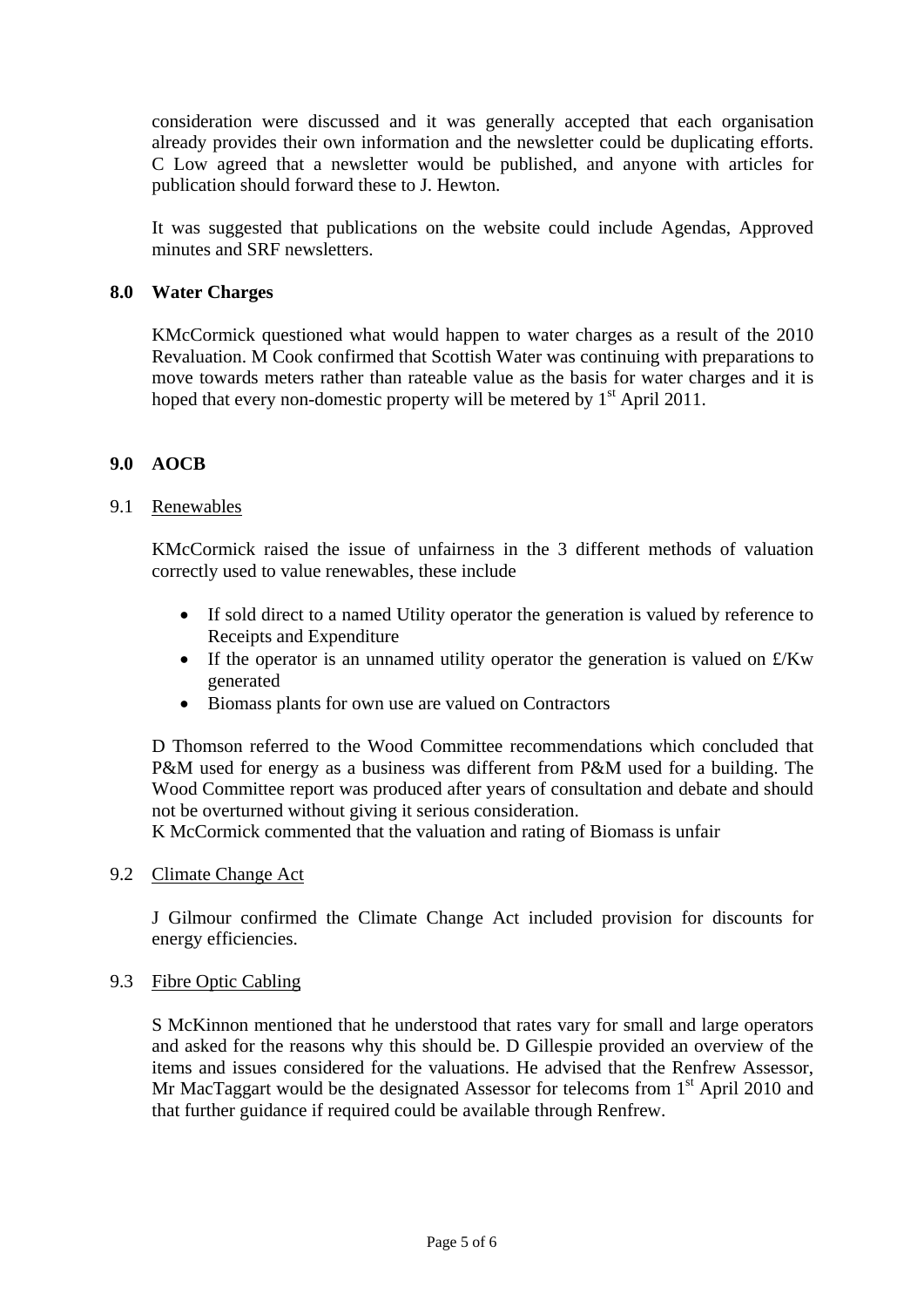consideration were discussed and it was generally accepted that each organisation already provides their own information and the newsletter could be duplicating efforts. C Low agreed that a newsletter would be published, and anyone with articles for publication should forward these to J. Hewton.

It was suggested that publications on the website could include Agendas, Approved minutes and SRF newsletters.

# **8.0 Water Charges**

KMcCormick questioned what would happen to water charges as a result of the 2010 Revaluation. M Cook confirmed that Scottish Water was continuing with preparations to move towards meters rather than rateable value as the basis for water charges and it is hoped that every non-domestic property will be metered by  $1<sup>st</sup>$  April 2011.

# **9.0 AOCB**

### 9.1 Renewables

KMcCormick raised the issue of unfairness in the 3 different methods of valuation correctly used to value renewables, these include

- If sold direct to a named Utility operator the generation is valued by reference to Receipts and Expenditure
- If the operator is an unnamed utility operator the generation is valued on  $\angle Kw$ generated
- Biomass plants for own use are valued on Contractors

D Thomson referred to the Wood Committee recommendations which concluded that P&M used for energy as a business was different from P&M used for a building. The Wood Committee report was produced after years of consultation and debate and should not be overturned without giving it serious consideration.

K McCormick commented that the valuation and rating of Biomass is unfair

### 9.2 Climate Change Act

J Gilmour confirmed the Climate Change Act included provision for discounts for energy efficiencies.

### 9.3 Fibre Optic Cabling

S McKinnon mentioned that he understood that rates vary for small and large operators and asked for the reasons why this should be. D Gillespie provided an overview of the items and issues considered for the valuations. He advised that the Renfrew Assessor, Mr MacTaggart would be the designated Assessor for telecoms from  $1<sup>st</sup>$  April 2010 and that further guidance if required could be available through Renfrew.